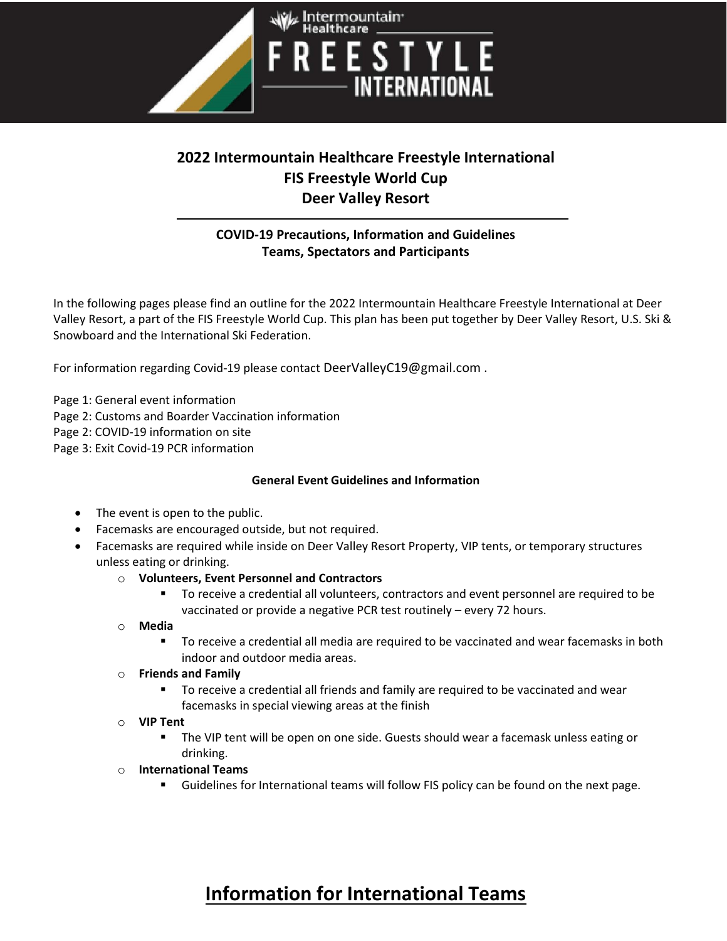

### 2022 Intermountain Healthcare Freestyle International FIS Freestyle World Cup Deer Valley Resort

### COVID-19 Precautions, Information and Guidelines Teams, Spectators and Participants

In the following pages please find an outline for the 2022 Intermountain Healthcare Freestyle International at Deer Valley Resort, a part of the FIS Freestyle World Cup. This plan has been put together by Deer Valley Resort, U.S. Ski & Snowboard and the International Ski Federation.

For information regarding Covid-19 please contact DeerValleyC19@gmail.com .

Page 1: General event information

Page 2: Customs and Boarder Vaccination information

Page 2: COVID-19 information on site

Page 3: Exit Covid-19 PCR information

#### General Event Guidelines and Information

- The event is open to the public.
- Facemasks are encouraged outside, but not required.
- Facemasks are required while inside on Deer Valley Resort Property, VIP tents, or temporary structures unless eating or drinking.
	- o Volunteers, Event Personnel and Contractors
		- To receive a credential all volunteers, contractors and event personnel are required to be vaccinated or provide a negative PCR test routinely – every 72 hours.
	- o Media
		- To receive a credential all media are required to be vaccinated and wear facemasks in both indoor and outdoor media areas.
	- o Friends and Family
		- To receive a credential all friends and family are required to be vaccinated and wear facemasks in special viewing areas at the finish
	- o VIP Tent
		- The VIP tent will be open on one side. Guests should wear a facemask unless eating or drinking.
	- o International Teams
		- Guidelines for International teams will follow FIS policy can be found on the next page.

# Information for International Teams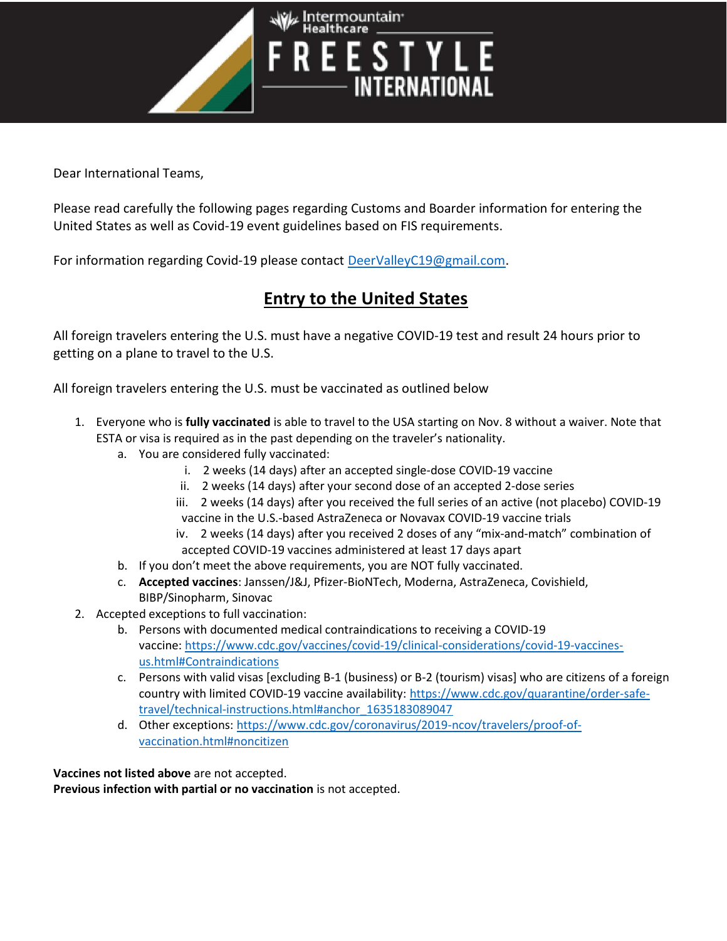

Dear International Teams,

Please read carefully the following pages regarding Customs and Boarder information for entering the United States as well as Covid-19 event guidelines based on FIS requirements.

For information regarding Covid-19 please contact DeerValleyC19@gmail.com.

## Entry to the United States

All foreign travelers entering the U.S. must have a negative COVID-19 test and result 24 hours prior to getting on a plane to travel to the U.S.

All foreign travelers entering the U.S. must be vaccinated as outlined below

- 1. Everyone who is fully vaccinated is able to travel to the USA starting on Nov. 8 without a waiver. Note that ESTA or visa is required as in the past depending on the traveler's nationality.
	- a. You are considered fully vaccinated:
		- i. 2 weeks (14 days) after an accepted single-dose COVID-19 vaccine
		- ii. 2 weeks (14 days) after your second dose of an accepted 2-dose series
		- iii. 2 weeks (14 days) after you received the full series of an active (not placebo) COVID-19 vaccine in the U.S.-based AstraZeneca or Novavax COVID-19 vaccine trials
		- iv. 2 weeks (14 days) after you received 2 doses of any "mix-and-match" combination of accepted COVID-19 vaccines administered at least 17 days apart
	- b. If you don't meet the above requirements, you are NOT fully vaccinated.
	- c. Accepted vaccines: Janssen/J&J, Pfizer-BioNTech, Moderna, AstraZeneca, Covishield, BIBP/Sinopharm, Sinovac
- 2. Accepted exceptions to full vaccination:
	- b. Persons with documented medical contraindications to receiving a COVID-19 vaccine: https://www.cdc.gov/vaccines/covid-19/clinical-considerations/covid-19-vaccinesus.html#Contraindications
	- c. Persons with valid visas [excluding B-1 (business) or B-2 (tourism) visas] who are citizens of a foreign country with limited COVID-19 vaccine availability: https://www.cdc.gov/quarantine/order-safetravel/technical-instructions.html#anchor\_1635183089047
	- d. Other exceptions: https://www.cdc.gov/coronavirus/2019-ncov/travelers/proof-ofvaccination.html#noncitizen

Vaccines not listed above are not accepted. Previous infection with partial or no vaccination is not accepted.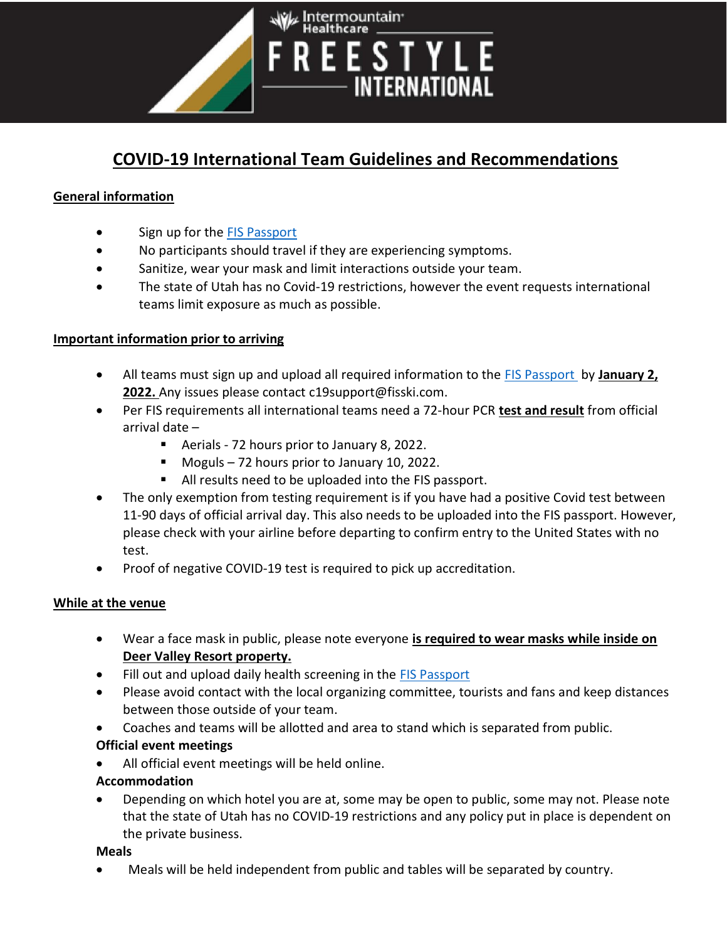

# COVID-19 International Team Guidelines and Recommendations

### General information

- Sign up for the FIS Passport
- No participants should travel if they are experiencing symptoms.
- Sanitize, wear your mask and limit interactions outside your team.
- The state of Utah has no Covid-19 restrictions, however the event requests international teams limit exposure as much as possible.

#### Important information prior to arriving

- All teams must sign up and upload all required information to the FIS Passport by January 2, 2022. Any issues please contact c19support@fisski.com.
- Per FIS requirements all international teams need a 72-hour PCR test and result from official arrival date –
	- Aerials 72 hours prior to January 8, 2022.
	- Moguls 72 hours prior to January 10, 2022.
	- All results need to be uploaded into the FIS passport.
- The only exemption from testing requirement is if you have had a positive Covid test between 11-90 days of official arrival day. This also needs to be uploaded into the FIS passport. However, please check with your airline before departing to confirm entry to the United States with no test.
- Proof of negative COVID-19 test is required to pick up accreditation.

#### While at the venue

- Wear a face mask in public, please note everyone is required to wear masks while inside on Deer Valley Resort property.
- Fill out and upload daily health screening in the FIS Passport
- Please avoid contact with the local organizing committee, tourists and fans and keep distances between those outside of your team.
- Coaches and teams will be allotted and area to stand which is separated from public.

#### Official event meetings

All official event meetings will be held online.

#### Accommodation

 Depending on which hotel you are at, some may be open to public, some may not. Please note that the state of Utah has no COVID-19 restrictions and any policy put in place is dependent on the private business.

#### Meals

Meals will be held independent from public and tables will be separated by country.